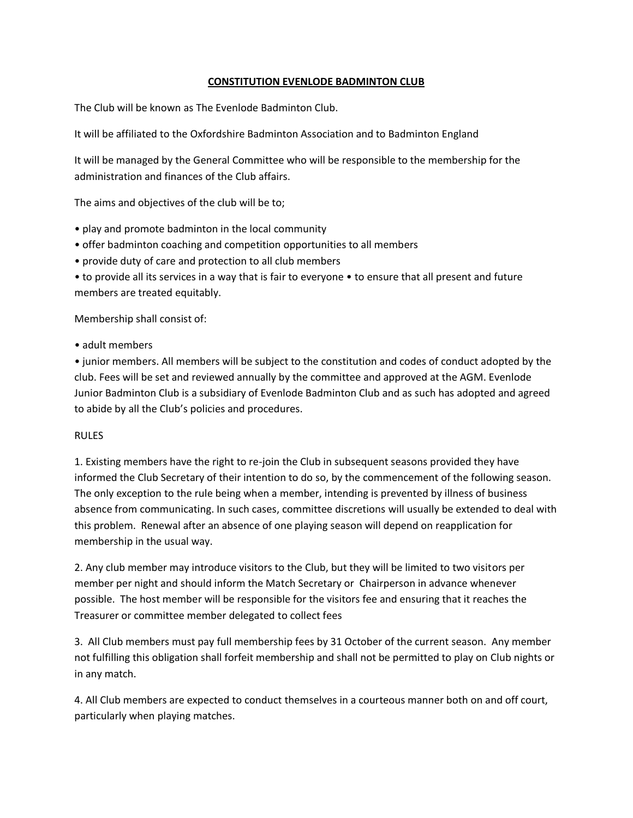# **CONSTITUTION EVENLODE BADMINTON CLUB**

The Club will be known as The Evenlode Badminton Club.

It will be affiliated to the Oxfordshire Badminton Association and to Badminton England

It will be managed by the General Committee who will be responsible to the membership for the administration and finances of the Club affairs.

The aims and objectives of the club will be to;

- play and promote badminton in the local community
- offer badminton coaching and competition opportunities to all members
- provide duty of care and protection to all club members
- to provide all its services in a way that is fair to everyone to ensure that all present and future members are treated equitably.

Membership shall consist of:

• adult members

• junior members. All members will be subject to the constitution and codes of conduct adopted by the club. Fees will be set and reviewed annually by the committee and approved at the AGM. Evenlode Junior Badminton Club is a subsidiary of Evenlode Badminton Club and as such has adopted and agreed to abide by all the Club's policies and procedures.

### RULES

1. Existing members have the right to re-join the Club in subsequent seasons provided they have informed the Club Secretary of their intention to do so, by the commencement of the following season. The only exception to the rule being when a member, intending is prevented by illness of business absence from communicating. In such cases, committee discretions will usually be extended to deal with this problem. Renewal after an absence of one playing season will depend on reapplication for membership in the usual way.

2. Any club member may introduce visitors to the Club, but they will be limited to two visitors per member per night and should inform the Match Secretary or Chairperson in advance whenever possible. The host member will be responsible for the visitors fee and ensuring that it reaches the Treasurer or committee member delegated to collect fees

3. All Club members must pay full membership fees by 31 October of the current season. Any member not fulfilling this obligation shall forfeit membership and shall not be permitted to play on Club nights or in any match.

4. All Club members are expected to conduct themselves in a courteous manner both on and off court, particularly when playing matches.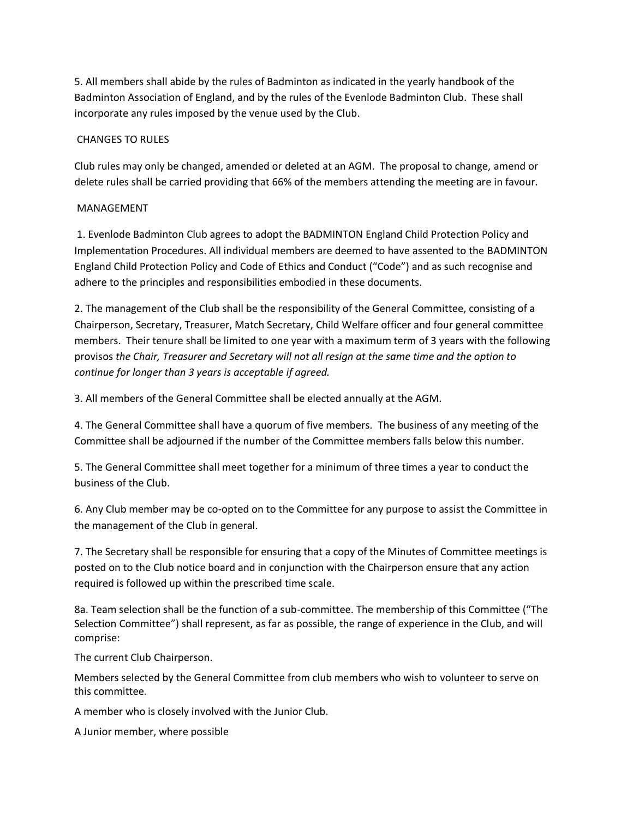5. All members shall abide by the rules of Badminton as indicated in the yearly handbook of the Badminton Association of England, and by the rules of the Evenlode Badminton Club. These shall incorporate any rules imposed by the venue used by the Club.

## CHANGES TO RULES

Club rules may only be changed, amended or deleted at an AGM. The proposal to change, amend or delete rules shall be carried providing that 66% of the members attending the meeting are in favour.

### MANAGEMENT

1. Evenlode Badminton Club agrees to adopt the BADMINTON England Child Protection Policy and Implementation Procedures. All individual members are deemed to have assented to the BADMINTON England Child Protection Policy and Code of Ethics and Conduct ("Code") and as such recognise and adhere to the principles and responsibilities embodied in these documents.

2. The management of the Club shall be the responsibility of the General Committee, consisting of a Chairperson, Secretary, Treasurer, Match Secretary, Child Welfare officer and four general committee members. Their tenure shall be limited to one year with a maximum term of 3 years with the following provisos *the Chair, Treasurer and Secretary will not all resign at the same time and the option to continue for longer than 3 years is acceptable if agreed.*

3. All members of the General Committee shall be elected annually at the AGM.

4. The General Committee shall have a quorum of five members. The business of any meeting of the Committee shall be adjourned if the number of the Committee members falls below this number.

5. The General Committee shall meet together for a minimum of three times a year to conduct the business of the Club.

6. Any Club member may be co-opted on to the Committee for any purpose to assist the Committee in the management of the Club in general.

7. The Secretary shall be responsible for ensuring that a copy of the Minutes of Committee meetings is posted on to the Club notice board and in conjunction with the Chairperson ensure that any action required is followed up within the prescribed time scale.

8a. Team selection shall be the function of a sub-committee. The membership of this Committee ("The Selection Committee") shall represent, as far as possible, the range of experience in the Club, and will comprise:

The current Club Chairperson.

Members selected by the General Committee from club members who wish to volunteer to serve on this committee.

A member who is closely involved with the Junior Club.

A Junior member, where possible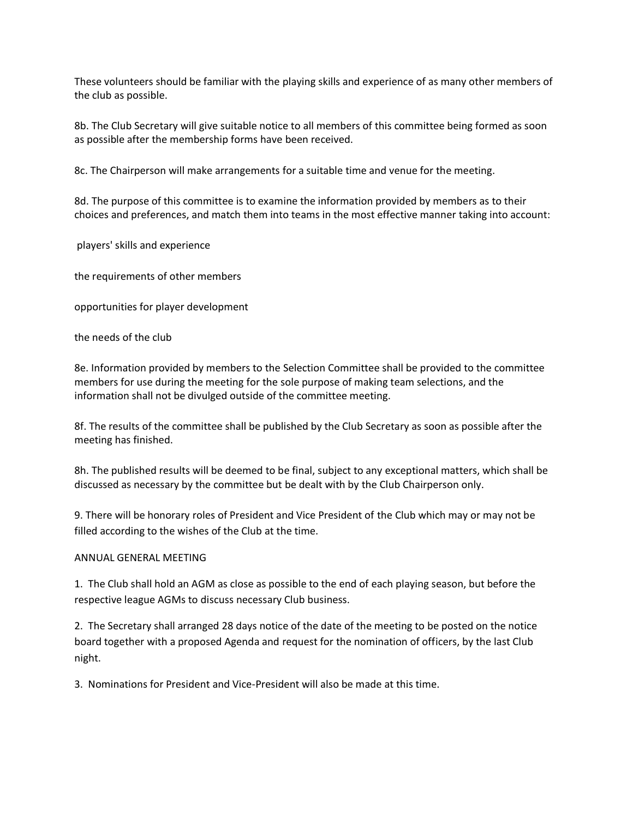These volunteers should be familiar with the playing skills and experience of as many other members of the club as possible.

8b. The Club Secretary will give suitable notice to all members of this committee being formed as soon as possible after the membership forms have been received.

8c. The Chairperson will make arrangements for a suitable time and venue for the meeting.

8d. The purpose of this committee is to examine the information provided by members as to their choices and preferences, and match them into teams in the most effective manner taking into account:

players' skills and experience

the requirements of other members

opportunities for player development

the needs of the club

8e. Information provided by members to the Selection Committee shall be provided to the committee members for use during the meeting for the sole purpose of making team selections, and the information shall not be divulged outside of the committee meeting.

8f. The results of the committee shall be published by the Club Secretary as soon as possible after the meeting has finished.

8h. The published results will be deemed to be final, subject to any exceptional matters, which shall be discussed as necessary by the committee but be dealt with by the Club Chairperson only.

9. There will be honorary roles of President and Vice President of the Club which may or may not be filled according to the wishes of the Club at the time.

### ANNUAL GENERAL MEETING

1. The Club shall hold an AGM as close as possible to the end of each playing season, but before the respective league AGMs to discuss necessary Club business.

2. The Secretary shall arranged 28 days notice of the date of the meeting to be posted on the notice board together with a proposed Agenda and request for the nomination of officers, by the last Club night.

3. Nominations for President and Vice-President will also be made at this time.